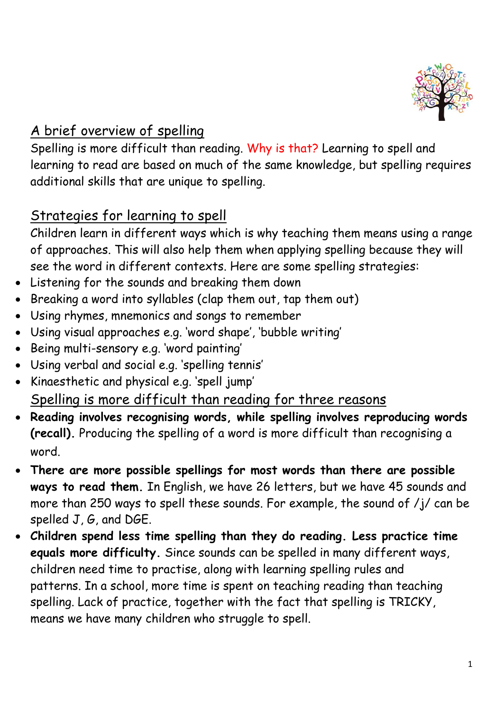

## A brief overview of spelling

Spelling is more difficult than reading. Why is that? Learning to spell and learning to read are based on much of the same knowledge, but spelling requires additional skills that are unique to spelling.

## Strategies for learning to spell

Children learn in different ways which is why teaching them means using a range of approaches. This will also help them when applying spelling because they will see the word in different contexts. Here are some spelling strategies:

- Listening for the sounds and breaking them down
- Breaking a word into syllables (clap them out, tap them out)
- Using rhymes, mnemonics and songs to remember
- Using visual approaches e.g. 'word shape', 'bubble writing'
- Being multi-sensory e.g. 'word painting'
- Using verbal and social e.g. 'spelling tennis'
- Kinaesthetic and physical e.g. 'spell jump' Spelling is more difficult than reading for three reasons
- **Reading involves recognising words, while spelling involves reproducing words (recall).** Producing the spelling of a word is more difficult than recognising a word.
- **There are more possible spellings for most words than there are possible ways to read them.** In English, we have 26 letters, but we have 45 sounds and more than 250 ways to spell these sounds. For example, the sound of /j/ can be spelled J, G, and DGE.
- **Children spend less time spelling than they do reading. Less practice time equals more difficulty.** Since sounds can be spelled in many different ways, children need time to practise, along with learning spelling rules and patterns. In a school, more time is spent on teaching reading than teaching spelling. Lack of practice, together with the fact that spelling is TRICKY, means we have many children who struggle to spell.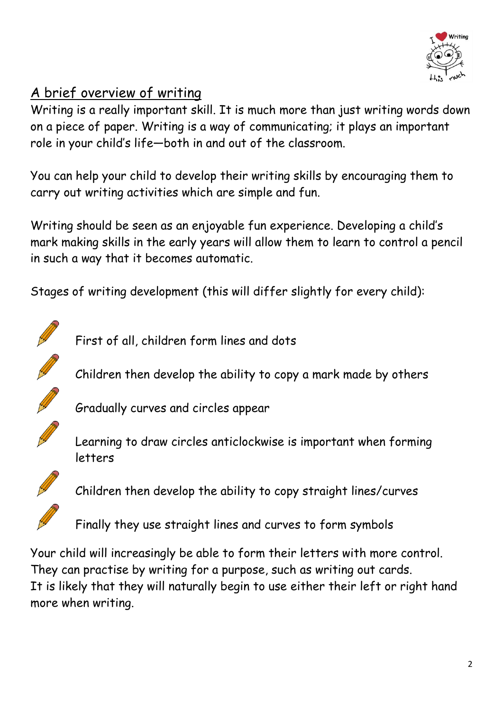

## A brief overview of writing

Writing is a really important skill. It is much more than just writing words down on a piece of paper. Writing is a way of communicating; it plays an important role in your child's life—both in and out of the classroom.

You can help your child to develop their writing skills by encouraging them to carry out writing activities which are simple and fun.

Writing should be seen as an enjoyable fun experience. Developing a child's mark making skills in the early years will allow them to learn to control a pencil in such a way that it becomes automatic.

Stages of writing development (this will differ slightly for every child):



First of all, children form lines and dots

Children then develop the ability to copy a mark made by others



Gradually curves and circles appear



Learning to draw circles anticlockwise is important when forming letters



Children then develop the ability to copy straight lines/curves

Finally they use straight lines and curves to form symbols

Your child will increasingly be able to form their letters with more control. They can practise by writing for a purpose, such as writing out cards. It is likely that they will naturally begin to use either their left or right hand more when writing.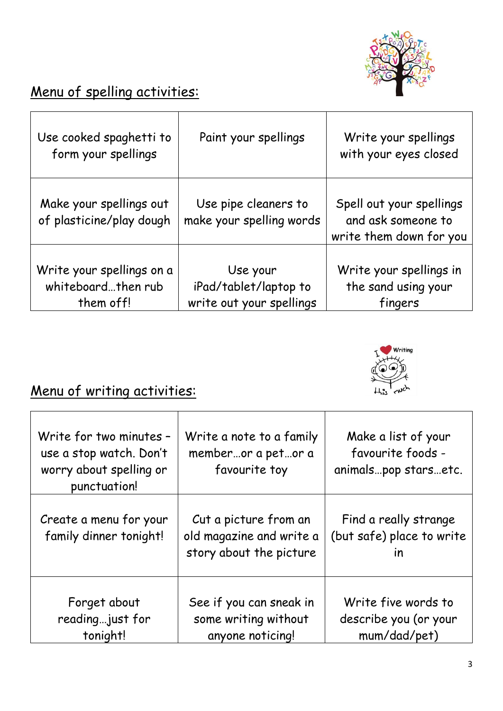

# Menu of spelling activities:

| Use cooked spaghetti to<br>form your spellings               | Paint your spellings                                          | Write your spellings<br>with your eyes closed                             |
|--------------------------------------------------------------|---------------------------------------------------------------|---------------------------------------------------------------------------|
| Make your spellings out<br>of plasticine/play dough          | Use pipe cleaners to<br>make your spelling words              | Spell out your spellings<br>and ask someone to<br>write them down for you |
| Write your spellings on a<br>whiteboardthen rub<br>them off! | Use your<br>iPad/tablet/laptop to<br>write out your spellings | Write your spellings in<br>the sand using your<br>fingers                 |



# Menu of writing activities:

| Write for two minutes -<br>use a stop watch. Don't<br>worry about spelling or<br>punctuation! | Write a note to a family<br>memberor a petor a<br>favourite toy              | Make a list of your<br>favourite foods -<br>animalspop starsetc.              |
|-----------------------------------------------------------------------------------------------|------------------------------------------------------------------------------|-------------------------------------------------------------------------------|
| Create a menu for your<br>family dinner tonight!                                              | Cut a picture from an<br>old magazine and write a<br>story about the picture | Find a really strange<br>(but safe) place to write<br>$\overline{\mathsf{I}}$ |
| Forget about<br>reading just for<br>tonight!                                                  | See if you can sneak in<br>some writing without<br>anyone noticing!          | Write five words to<br>describe you (or your<br>mum/dad/pet)                  |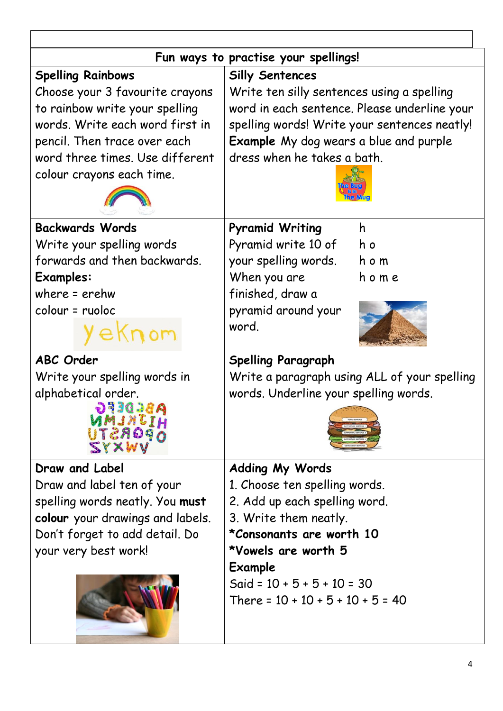| Fun ways to practise your spellings!   |                                               |  |  |  |
|----------------------------------------|-----------------------------------------------|--|--|--|
| <b>Spelling Rainbows</b>               | <b>Silly Sentences</b>                        |  |  |  |
| Choose your 3 favourite crayons        | Write ten silly sentences using a spelling    |  |  |  |
| to rainbow write your spelling         | word in each sentence. Please underline your  |  |  |  |
| words. Write each word first in        | spelling words! Write your sentences neatly!  |  |  |  |
| pencil. Then trace over each           | <b>Example</b> My dog wears a blue and purple |  |  |  |
| word three times. Use different        | dress when he takes a bath.                   |  |  |  |
| colour crayons each time.              |                                               |  |  |  |
|                                        |                                               |  |  |  |
|                                        |                                               |  |  |  |
| <b>Backwards Words</b>                 | <b>Pyramid Writing</b><br>h                   |  |  |  |
| Write your spelling words              | Pyramid write 10 of<br>h o                    |  |  |  |
| forwards and then backwards.           | your spelling words.<br>h o m                 |  |  |  |
| <b>Examples:</b>                       | When you are<br>home                          |  |  |  |
| where $=$ erehw                        | finished, draw a                              |  |  |  |
| colour = ruoloc                        | pyramid around your                           |  |  |  |
| eknom                                  | word.                                         |  |  |  |
| <b>ABC Order</b>                       | <b>Spelling Paragraph</b>                     |  |  |  |
| Write your spelling words in           | Write a paragraph using ALL of your spelling  |  |  |  |
| alphabetical order.                    | words. Underline your spelling words.         |  |  |  |
| ABEDEFG                                |                                               |  |  |  |
| MMJNIJH<br>TEADAN                      |                                               |  |  |  |
| ZYXWV                                  |                                               |  |  |  |
| Draw and Label                         | <b>Adding My Words</b>                        |  |  |  |
| Draw and label ten of your             | 1. Choose ten spelling words.                 |  |  |  |
| spelling words neatly. You <b>must</b> | 2. Add up each spelling word.                 |  |  |  |
| colour your drawings and labels.       | 3. Write them neatly.                         |  |  |  |
| Don't forget to add detail. Do         | <i>*Consonants are worth 10</i>               |  |  |  |
| your very best work!                   | *Vowels are worth 5                           |  |  |  |
|                                        | Example                                       |  |  |  |
|                                        | Said = $10 + 5 + 5 + 10 = 30$                 |  |  |  |
|                                        | There = $10 + 10 + 5 + 10 + 5 = 40$           |  |  |  |
|                                        |                                               |  |  |  |
|                                        |                                               |  |  |  |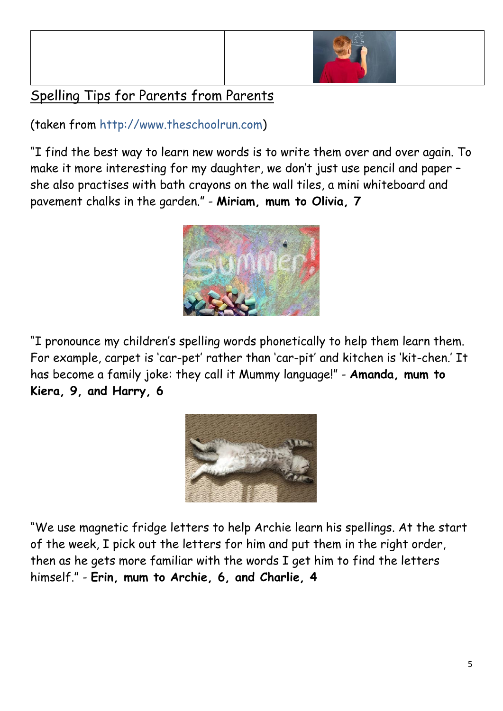

## Spelling Tips for Parents from Parents

(taken from [http://www.theschoolrun.com\)](http://www.theschoolrun.com/)

"I find the best way to learn new words is to write them over and over again. To make it more interesting for my daughter, we don't just use pencil and paper – she also practises with bath crayons on the wall tiles, a mini whiteboard and pavement chalks in the garden." - **Miriam, mum to Olivia, 7**



"I pronounce my children's spelling words phonetically to help them learn them. For example, carpet is 'car-pet' rather than 'car-pit' and kitchen is 'kit-chen.' It has become a family joke: they call it Mummy language!" - **Amanda, mum to Kiera, 9, and Harry, 6**



"We use magnetic fridge letters to help Archie learn his spellings. At the start of the week, I pick out the letters for him and put them in the right order, then as he gets more familiar with the words I get him to find the letters himself." - **Erin, mum to Archie, 6, and Charlie, 4**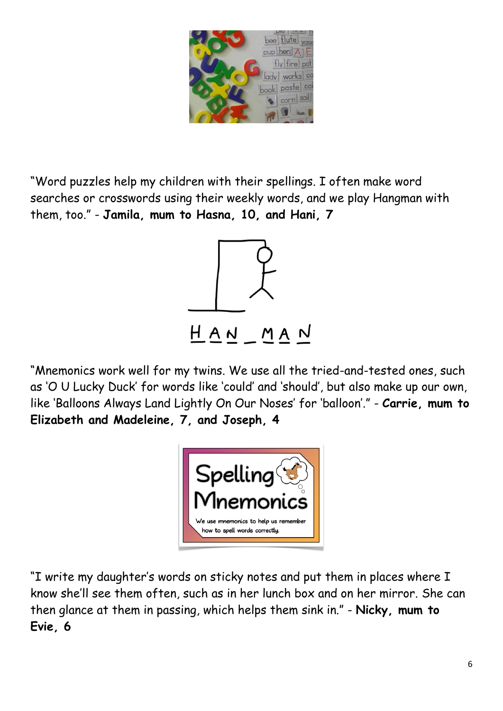

"Word puzzles help my children with their spellings. I often make word searches or crosswords using their weekly words, and we play Hangman with them, too." - **Jamila, mum to Hasna, 10, and Hani, 7**



"Mnemonics work well for my twins. We use all the tried-and-tested ones, such as 'O U Lucky Duck' for words like 'could' and 'should', but also make up our own, like 'Balloons Always Land Lightly On Our Noses' for 'balloon'." - **Carrie, mum to Elizabeth and Madeleine, 7, and Joseph, 4**



"I write my daughter's words on sticky notes and put them in places where I know she'll see them often, such as in her lunch box and on her mirror. She can then glance at them in passing, which helps them sink in." - **Nicky, mum to Evie, 6**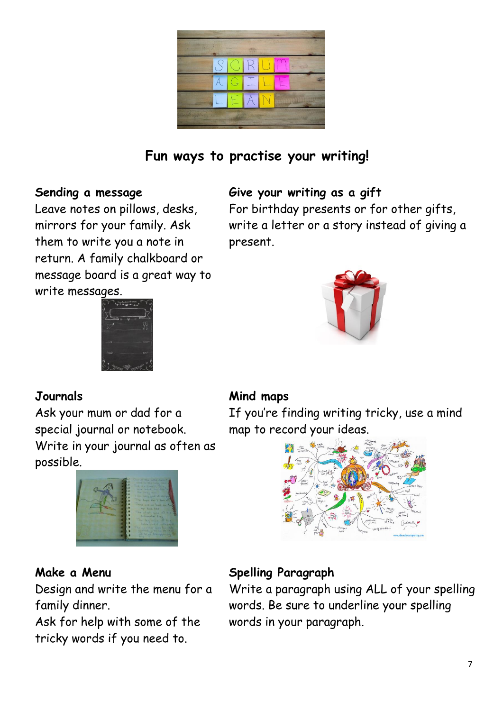

**Fun ways to practise your writing!**

#### **Sending a message**

Leave notes on pillows, desks, mirrors for your family. Ask them to write you a note in return. A family chalkboard or message board is a great way to write messages.



#### **Give your writing as a gift**

For birthday presents or for other gifts, write a letter or a story instead of giving a present.



#### **Journals**

Ask your mum or dad for a special journal or notebook. Write in your journal as often as possible.



#### **Make a Menu**

Design and write the menu for a family dinner.

Ask for help with some of the tricky words if you need to.

#### **Mind maps**

If you're finding writing tricky, use a mind map to record your ideas.



### **Spelling Paragraph**

Write a paragraph using ALL of your spelling words. Be sure to underline your spelling words in your paragraph.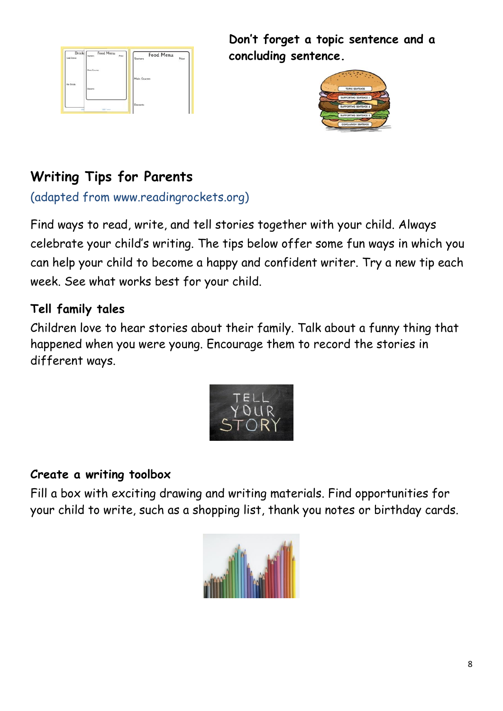

**Don't forget a topic sentence and a concluding sentence.** 



# **Writing Tips for Parents**

(adapted from www.readingrockets.org)

Find ways to read, write, and tell stories together with your child. Always celebrate your child's writing. The tips below offer some fun ways in which you can help your child to become a happy and confident writer. Try a new tip each week. See what works best for your child.

### **Tell family tales**

Children love to hear stories about their family. Talk about a funny thing that happened when you were young. Encourage them to record the stories in different ways.



### **Create a writing toolbox**

Fill a box with exciting drawing and writing materials. Find opportunities for your child to write, such as a shopping list, thank you notes or birthday cards.

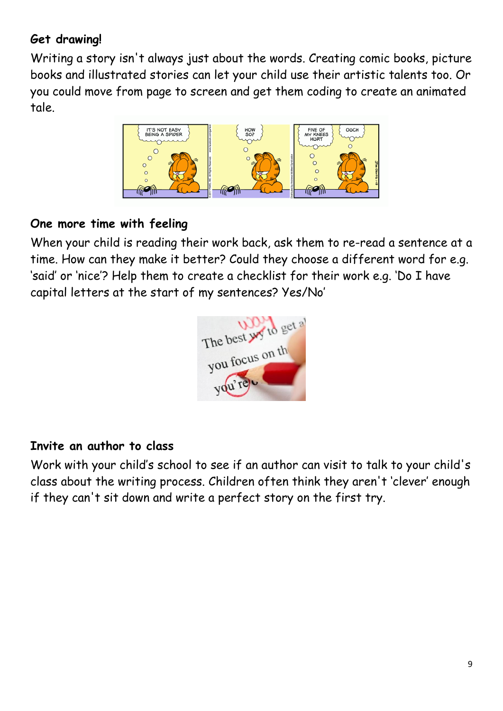### **Get drawing!**

Writing a story isn't always just about the words. Creating comic books, picture books and illustrated stories can let your child use their artistic talents too. Or you could move from page to screen and get them coding to create an animated tale.



#### **One more time with feeling**

When your child is reading their work back, ask them to re-read a sentence at a time. How can they make it better? Could they choose a different word for e.g. 'said' or 'nice'? Help them to create a checklist for their work e.g. 'Do I have capital letters at the start of my sentences? Yes/No'



#### **Invite an author to class**

Work with your child's school to see if an author can visit to talk to your child's class about the writing process. Children often think they aren't 'clever' enough if they can't sit down and write a perfect story on the first try.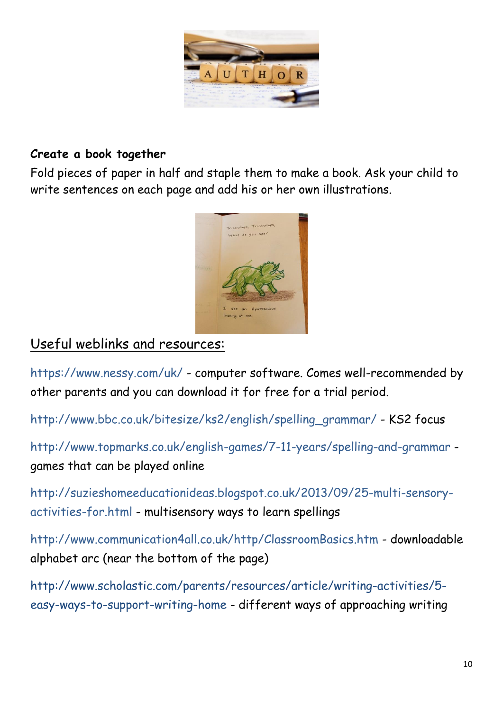

#### **Create a book together**

Fold pieces of paper in half and staple them to make a book. Ask your child to write sentences on each page and add his or her own illustrations.



### Useful weblinks and resources:

<https://www.nessy.com/uk/> - computer software. Comes well-recommended by other parents and you can download it for free for a trial period.

[http://www.bbc.co.uk/bitesize/ks2/english/spelling\\_grammar/](http://www.bbc.co.uk/bitesize/ks2/english/spelling_grammar/) - KS2 focus

<http://www.topmarks.co.uk/english-games/7-11-years/spelling-and-grammar> games that can be played online

[http://suzieshomeeducationideas.blogspot.co.uk/2013/09/25-multi-sensory](http://suzieshomeeducationideas.blogspot.co.uk/2013/09/25-multi-sensory-activities-for.html)[activities-for.html](http://suzieshomeeducationideas.blogspot.co.uk/2013/09/25-multi-sensory-activities-for.html) - multisensory ways to learn spellings

<http://www.communication4all.co.uk/http/ClassroomBasics.htm> - downloadable alphabet arc (near the bottom of the page)

[http://www.scholastic.com/parents/resources/article/writing-activities/5](http://www.scholastic.com/parents/resources/article/writing-activities/5-easy-ways-to-support-writing-home) [easy-ways-to-support-writing-home](http://www.scholastic.com/parents/resources/article/writing-activities/5-easy-ways-to-support-writing-home) - different ways of approaching writing